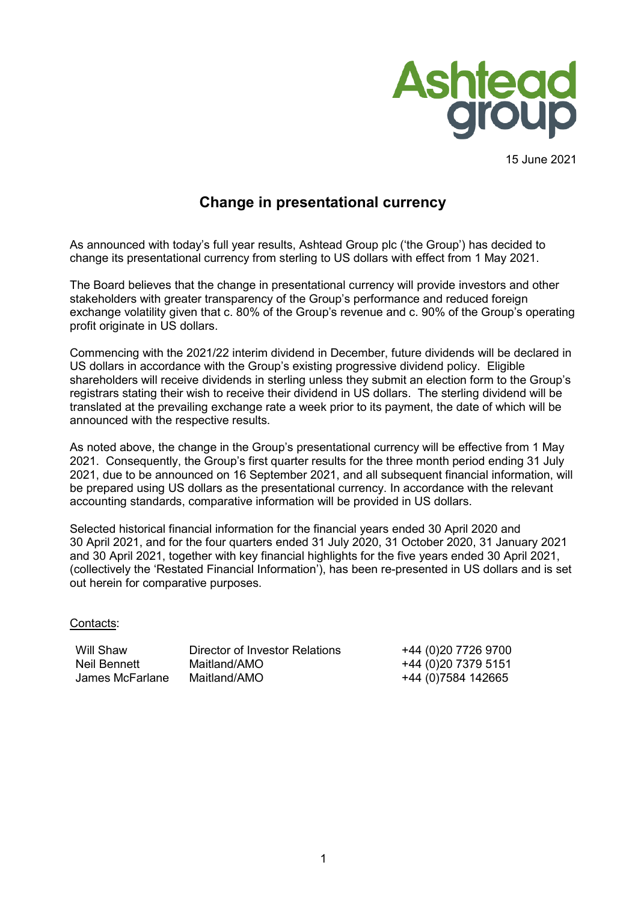

15 June 2021

# **Change in presentational currency**

As announced with today's full year results, Ashtead Group plc ('the Group') has decided to change its presentational currency from sterling to US dollars with effect from 1 May 2021.

The Board believes that the change in presentational currency will provide investors and other stakeholders with greater transparency of the Group's performance and reduced foreign exchange volatility given that c. 80% of the Group's revenue and c. 90% of the Group's operating profit originate in US dollars.

Commencing with the 2021/22 interim dividend in December, future dividends will be declared in US dollars in accordance with the Group's existing progressive dividend policy. Eligible shareholders will receive dividends in sterling unless they submit an election form to the Group's registrars stating their wish to receive their dividend in US dollars. The sterling dividend will be translated at the prevailing exchange rate a week prior to its payment, the date of which will be announced with the respective results.

As noted above, the change in the Group's presentational currency will be effective from 1 May 2021. Consequently, the Group's first quarter results for the three month period ending 31 July 2021, due to be announced on 16 September 2021, and all subsequent financial information, will be prepared using US dollars as the presentational currency. In accordance with the relevant accounting standards, comparative information will be provided in US dollars.

Selected historical financial information for the financial years ended 30 April 2020 and 30 April 2021, and for the four quarters ended 31 July 2020, 31 October 2020, 31 January 2021 and 30 April 2021, together with key financial highlights for the five years ended 30 April 2021, (collectively the 'Restated Financial Information'), has been re-presented in US dollars and is set out herein for comparative purposes.

#### Contacts:

Will Shaw Director of Investor Relations +44 (0)20 7726 9700 Neil Bennett Maitland/AMO +44 (0)20 7379 5151

 $+44 (0)7584 142665$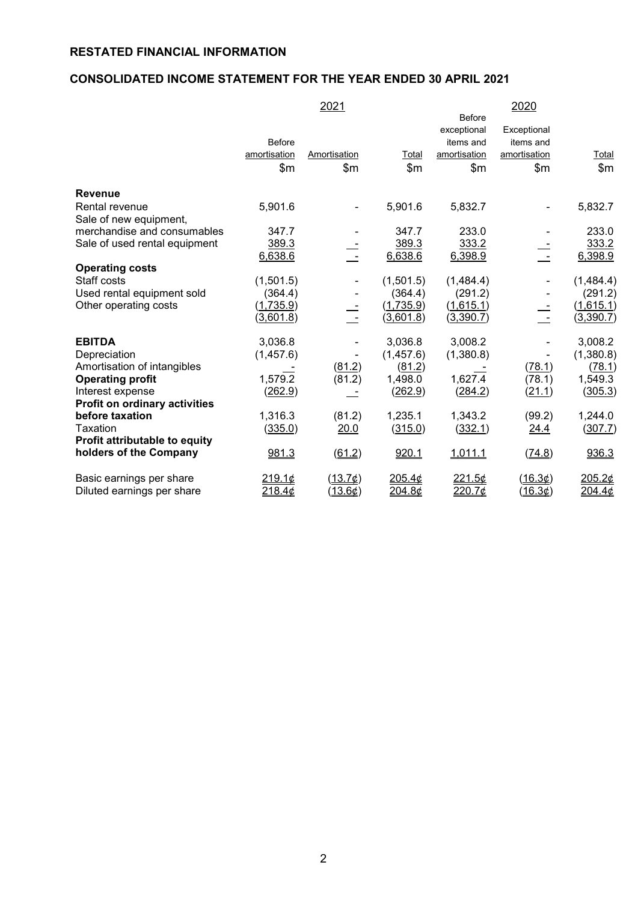## **RESTATED FINANCIAL INFORMATION**

## **CONSOLIDATED INCOME STATEMENT FOR THE YEAR ENDED 30 APRIL 2021**

|                               |                | 2021         |              |                | 2020         |              |
|-------------------------------|----------------|--------------|--------------|----------------|--------------|--------------|
|                               |                |              |              | <b>Before</b>  |              |              |
|                               |                |              |              | exceptional    | Exceptional  |              |
|                               | <b>Before</b>  |              |              | items and      | items and    |              |
|                               | amortisation   | Amortisation | <b>Total</b> | amortisation   | amortisation | <b>Total</b> |
|                               | \$m            | \$m          | $\mathsf{m}$ | $\mathsf{S}$ m | \$m          | \$m\$        |
| <b>Revenue</b>                |                |              |              |                |              |              |
| Rental revenue                | 5,901.6        |              | 5,901.6      | 5,832.7        |              | 5,832.7      |
| Sale of new equipment,        |                |              |              |                |              |              |
| merchandise and consumables   | 347.7          |              | 347.7        | 233.0          |              | 233.0        |
| Sale of used rental equipment | 389.3          |              | 389.3        | 333.2          |              | 333.2        |
|                               | 6,638.6        |              | 6,638.6      | 6,398.9        |              | 6,398.9      |
| <b>Operating costs</b>        |                |              |              |                |              |              |
| Staff costs                   | (1,501.5)      |              | (1,501.5)    | (1,484.4)      |              | (1,484.4)    |
| Used rental equipment sold    | (364.4)        |              | (364.4)      | (291.2)        |              | (291.2)      |
| Other operating costs         | (1,735.9)      |              | (1,735.9)    | (1,615.1)      |              | (1,615.1)    |
|                               | (3,601.8)      |              | (3,601.8)    | (3,390.7)      |              | (3,390.7)    |
| <b>EBITDA</b>                 | 3,036.8        |              | 3,036.8      | 3,008.2        |              | 3,008.2      |
| Depreciation                  | (1,457.6)      |              | (1,457.6)    | (1,380.8)      |              | (1,380.8)    |
| Amortisation of intangibles   |                | (81.2)       | (81.2)       |                | (78.1)       | (78.1)       |
| <b>Operating profit</b>       | 1,579.2        | (81.2)       | 1,498.0      | 1,627.4        | (78.1)       | 1,549.3      |
| Interest expense              | (262.9)        |              | (262.9)      | (284.2)        | (21.1)       | (305.3)      |
| Profit on ordinary activities |                |              |              |                |              |              |
| before taxation               | 1,316.3        | (81.2)       | 1,235.1      | 1,343.2        | (99.2)       | 1,244.0      |
| Taxation                      | <u>(335.0)</u> | 20.0         | (315.0)      | (332.1)        | 24.4         | (307.7)      |
| Profit attributable to equity |                |              |              |                |              |              |
| holders of the Company        | 981.3          | (61.2)       | 920.1        | 1,011.1        | (74.8)       | 936.3        |
| Basic earnings per share      | 219.10         | (13.7)       | 205.4¢       | 221.5¢         | (16.3¢)      | 205.26       |
| Diluted earnings per share    | 218.4¢         | (13.6)       | 204.8¢       | 220.7¢         | (16.3¢)      | 204.4c       |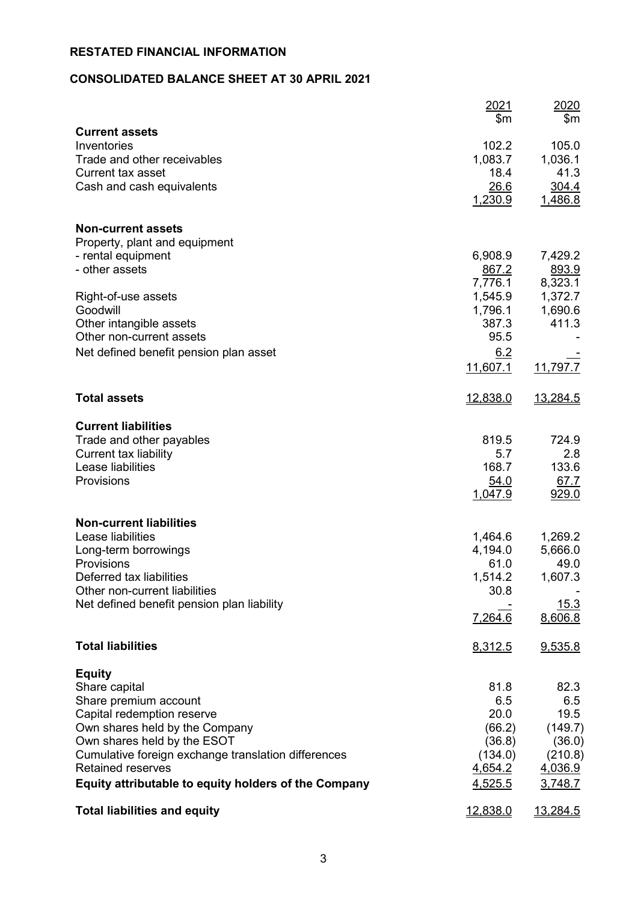## **RESTATED FINANCIAL INFORMATION**

# **CONSOLIDATED BALANCE SHEET AT 30 APRIL 2021**

|                                                      | 2021<br>\$m    | 2020<br>\$m  |
|------------------------------------------------------|----------------|--------------|
| <b>Current assets</b>                                |                |              |
| Inventories                                          | 102.2          | 105.0        |
| Trade and other receivables                          | 1,083.7        | 1,036.1      |
| <b>Current tax asset</b>                             | 18.4           | 41.3         |
| Cash and cash equivalents                            | 26.6           | 304.4        |
|                                                      | 1,230.9        | 1,486.8      |
| <b>Non-current assets</b>                            |                |              |
| Property, plant and equipment                        |                |              |
| - rental equipment                                   | 6,908.9        | 7,429.2      |
| - other assets                                       | 867.2          | 893.9        |
|                                                      | 7,776.1        | 8,323.1      |
| Right-of-use assets                                  | 1,545.9        | 1,372.7      |
| Goodwill                                             | 1,796.1        | 1,690.6      |
| Other intangible assets                              | 387.3          | 411.3        |
| Other non-current assets                             | 95.5           |              |
| Net defined benefit pension plan asset               | 6.2            |              |
|                                                      | 11,607.1       | 11,797.7     |
| <b>Total assets</b>                                  | 12,838.0       | 13,284.5     |
|                                                      |                |              |
| <b>Current liabilities</b>                           |                |              |
| Trade and other payables<br>Current tax liability    | 819.5<br>5.7   | 724.9<br>2.8 |
| Lease liabilities                                    | 168.7          | 133.6        |
| Provisions                                           | 54.0           | 67.7         |
|                                                      | <u>1,047.9</u> | 929.0        |
| <b>Non-current liabilities</b>                       |                |              |
| Lease liabilities                                    | 1,464.6        | 1,269.2      |
| Long-term borrowings                                 | 4,194.0        | 5,666.0      |
| Provisions                                           | 61.0           | 49.0         |
| Deferred tax liabilities                             | 1,514.2        | 1,607.3      |
| Other non-current liabilities                        | 30.8           |              |
| Net defined benefit pension plan liability           |                | 15.3         |
|                                                      | 7,264.6        | 8,606.8      |
| <b>Total liabilities</b>                             | 8,312.5        | 9,535.8      |
| <b>Equity</b>                                        |                |              |
| Share capital                                        | 81.8           | 82.3         |
| Share premium account                                | 6.5            | 6.5          |
| Capital redemption reserve                           | 20.0           | 19.5         |
| Own shares held by the Company                       | (66.2)         | (149.7)      |
| Own shares held by the ESOT                          | (36.8)         | (36.0)       |
| Cumulative foreign exchange translation differences  | (134.0)        | (210.8)      |
| <b>Retained reserves</b>                             | 4,654.2        | 4,036.9      |
| Equity attributable to equity holders of the Company | 4,525.5        | 3,748.7      |
| <b>Total liabilities and equity</b>                  | 12,838.0       | 13,284.5     |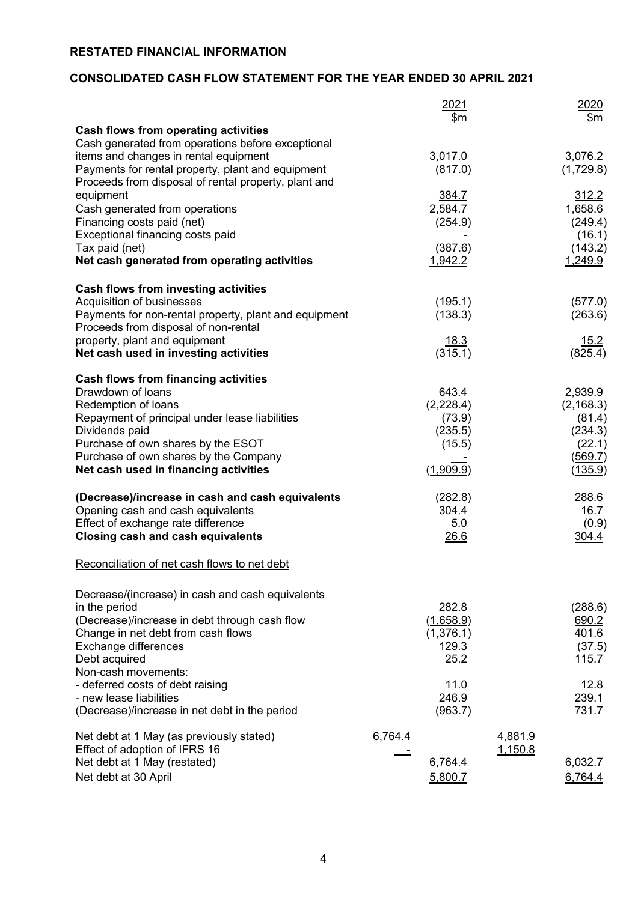## **RESTATED FINANCIAL INFORMATION**

## **CONSOLIDATED CASH FLOW STATEMENT FOR THE YEAR ENDED 30 APRIL 2021**

|                                                       | 2021<br>\$m | 2020<br>\$m |
|-------------------------------------------------------|-------------|-------------|
| Cash flows from operating activities                  |             |             |
| Cash generated from operations before exceptional     |             |             |
| items and changes in rental equipment                 | 3,017.0     | 3,076.2     |
| Payments for rental property, plant and equipment     | (817.0)     | (1,729.8)   |
| Proceeds from disposal of rental property, plant and  |             |             |
| equipment                                             | 384.7       | 312.2       |
| Cash generated from operations                        | 2,584.7     | 1,658.6     |
| Financing costs paid (net)                            | (254.9)     | (249.4)     |
| Exceptional financing costs paid                      |             | (16.1)      |
| Tax paid (net)                                        | (387.6)     | (143.2)     |
| Net cash generated from operating activities          | 1,942.2     | 1,249.9     |
| Cash flows from investing activities                  |             |             |
| Acquisition of businesses                             | (195.1)     | (577.0)     |
| Payments for non-rental property, plant and equipment | (138.3)     | (263.6)     |
| Proceeds from disposal of non-rental                  |             |             |
| property, plant and equipment                         | 18.3        | 15.2        |
| Net cash used in investing activities                 | (315.1)     | (825.4)     |
| <b>Cash flows from financing activities</b>           |             |             |
| Drawdown of loans                                     | 643.4       | 2,939.9     |
| Redemption of loans                                   | (2,228.4)   | (2, 168.3)  |
| Repayment of principal under lease liabilities        | (73.9)      | (81.4)      |
| Dividends paid                                        | (235.5)     | (234.3)     |
| Purchase of own shares by the ESOT                    | (15.5)      | (22.1)      |
| Purchase of own shares by the Company                 |             | (569.7)     |
| Net cash used in financing activities                 | (1,909.9)   | (135.9)     |
| (Decrease)/increase in cash and cash equivalents      | (282.8)     | 288.6       |
| Opening cash and cash equivalents                     | 304.4       | 16.7        |
| Effect of exchange rate difference                    | 5.0         | (0.9)       |
| <b>Closing cash and cash equivalents</b>              | 26.6        | 304.4       |
| Reconciliation of net cash flows to net debt          |             |             |
| Decrease/(increase) in cash and cash equivalents      |             |             |
| in the period                                         | 282.8       | (288.6)     |
| (Decrease)/increase in debt through cash flow         | (1,658.9)   | 690.2       |
| Change in net debt from cash flows                    | (1,376.1)   | 401.6       |
| Exchange differences                                  | 129.3       | (37.5)      |
| Debt acquired                                         | 25.2        | 115.7       |
| Non-cash movements:                                   |             |             |
| - deferred costs of debt raising                      | 11.0        | 12.8        |
| - new lease liabilities                               | 246.9       | 239.1       |
| (Decrease)/increase in net debt in the period         | (963.7)     | 731.7       |
| Net debt at 1 May (as previously stated)              | 6,764.4     | 4,881.9     |
| Effect of adoption of IFRS 16                         |             | 1,150.8     |
| Net debt at 1 May (restated)                          | 6,764.4     | 6,032.7     |
| Net debt at 30 April                                  | 5,800.7     | 6,764.4     |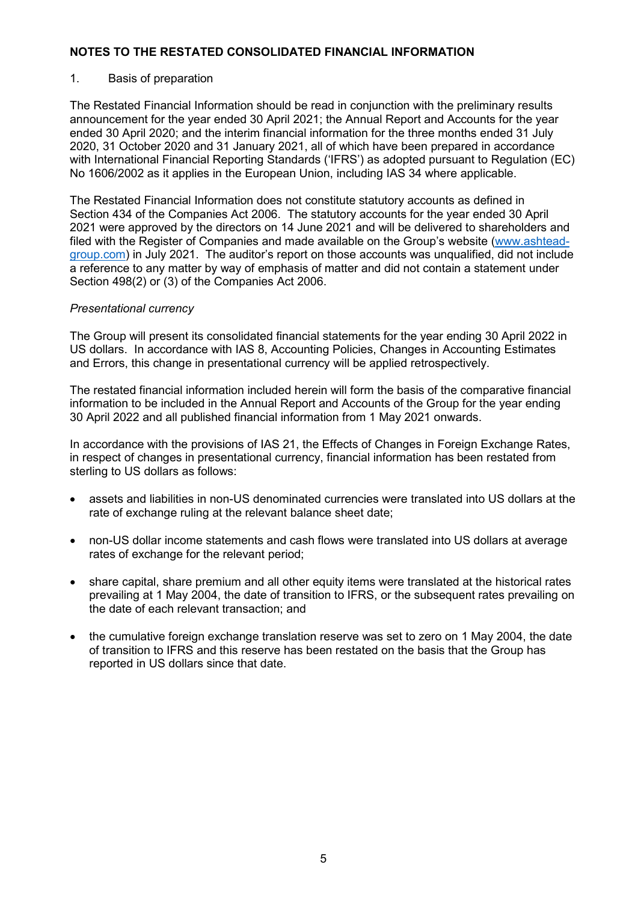#### 1. Basis of preparation

The Restated Financial Information should be read in conjunction with the preliminary results announcement for the year ended 30 April 2021; the Annual Report and Accounts for the year ended 30 April 2020; and the interim financial information for the three months ended 31 July 2020, 31 October 2020 and 31 January 2021, all of which have been prepared in accordance with International Financial Reporting Standards ('IFRS') as adopted pursuant to Regulation (EC) No 1606/2002 as it applies in the European Union, including IAS 34 where applicable.

The Restated Financial Information does not constitute statutory accounts as defined in Section 434 of the Companies Act 2006. The statutory accounts for the year ended 30 April 2021 were approved by the directors on 14 June 2021 and will be delivered to shareholders and filed with the Register of Companies and made available on the Group's website [\(www.ashtead](http://www.ashtead-group.com/)[group.com\)](http://www.ashtead-group.com/) in July 2021. The auditor's report on those accounts was unqualified, did not include a reference to any matter by way of emphasis of matter and did not contain a statement under Section 498(2) or (3) of the Companies Act 2006.

#### *Presentational currency*

The Group will present its consolidated financial statements for the year ending 30 April 2022 in US dollars. In accordance with IAS 8, Accounting Policies, Changes in Accounting Estimates and Errors, this change in presentational currency will be applied retrospectively.

The restated financial information included herein will form the basis of the comparative financial information to be included in the Annual Report and Accounts of the Group for the year ending 30 April 2022 and all published financial information from 1 May 2021 onwards.

In accordance with the provisions of IAS 21, the Effects of Changes in Foreign Exchange Rates, in respect of changes in presentational currency, financial information has been restated from sterling to US dollars as follows:

- assets and liabilities in non-US denominated currencies were translated into US dollars at the rate of exchange ruling at the relevant balance sheet date;
- non-US dollar income statements and cash flows were translated into US dollars at average rates of exchange for the relevant period;
- share capital, share premium and all other equity items were translated at the historical rates prevailing at 1 May 2004, the date of transition to IFRS, or the subsequent rates prevailing on the date of each relevant transaction; and
- the cumulative foreign exchange translation reserve was set to zero on 1 May 2004, the date of transition to IFRS and this reserve has been restated on the basis that the Group has reported in US dollars since that date.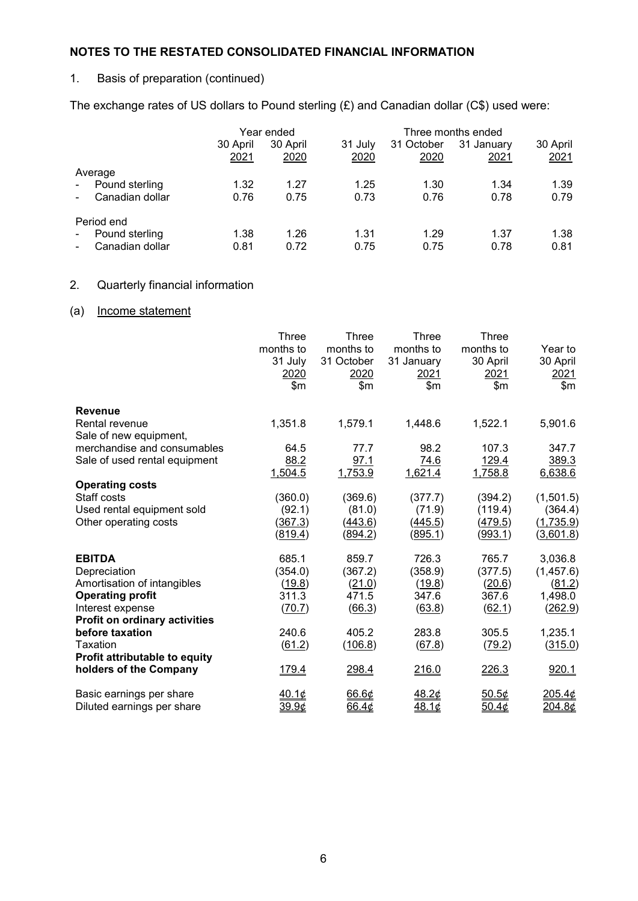### 1. Basis of preparation (continued)

The exchange rates of US dollars to Pound sterling  $(E)$  and Canadian dollar  $(C$)$  used were:

|        |                 | Year ended       |                  |                 | Three months ended |                    |                  |  |
|--------|-----------------|------------------|------------------|-----------------|--------------------|--------------------|------------------|--|
|        |                 | 30 April<br>2021 | 30 April<br>2020 | 31 July<br>2020 | 31 October<br>2020 | 31 January<br>2021 | 30 April<br>2021 |  |
|        | Average         |                  |                  |                 |                    |                    |                  |  |
| $\sim$ | Pound sterling  | 1.32             | 1.27             | 1.25            | 1.30               | 1.34               | 1.39             |  |
|        | Canadian dollar | 0.76             | 0.75             | 0.73            | 0.76               | 0.78               | 0.79             |  |
|        | Period end      |                  |                  |                 |                    |                    |                  |  |
|        | Pound sterling  | 1.38             | 1.26             | 1.31            | 1.29               | 1.37               | 1.38             |  |
|        | Canadian dollar | 0.81             | 0.72             | 0.75            | 0.75               | 0.78               | 0.81             |  |

### 2. Quarterly financial information

#### (a) Income statement

|                               | Three          | Three        | Three      | Three          |                  |
|-------------------------------|----------------|--------------|------------|----------------|------------------|
|                               | months to      | months to    | months to  | months to      | Year to          |
|                               | 31 July        | 31 October   | 31 January | 30 April       | 30 April         |
|                               | 2020           | 2020         | 2021       | 2021           | 2021             |
|                               | \$m            | \$m          | \$m        | \$m\$          | \$m              |
| <b>Revenue</b>                |                |              |            |                |                  |
| Rental revenue                | 1,351.8        | 1,579.1      | 1,448.6    | 1,522.1        | 5,901.6          |
| Sale of new equipment,        |                |              |            |                |                  |
| merchandise and consumables   | 64.5           | 77.7         | 98.2       | 107.3          | 347.7            |
| Sale of used rental equipment | 88.2           | 97.1         | 74.6       | 129.4          | 389.3            |
|                               | 1,504.5        | 1,753.9      | 1,621.4    | 1,758.8        | 6,638.6          |
| <b>Operating costs</b>        |                |              |            |                |                  |
| Staff costs                   | (360.0)        | (369.6)      | (377.7)    | (394.2)        | (1,501.5)        |
| Used rental equipment sold    | (92.1)         | (81.0)       | (71.9)     | (119.4)        | (364.4)          |
| Other operating costs         | (367.3)        | (443.6)      | (445.5)    | <u>(479.5)</u> | (1,735.9)        |
|                               | <u>(819.4)</u> | (894.2)      | (895.1)    | (993.1)        | <u>(3,601.8)</u> |
| <b>EBITDA</b>                 | 685.1          | 859.7        | 726.3      | 765.7          | 3,036.8          |
| Depreciation                  | (354.0)        | (367.2)      | (358.9)    | (377.5)        | (1,457.6)        |
| Amortisation of intangibles   | (19.8)         | (21.0)       | (19.8)     | (20.6)         | (81.2)           |
| <b>Operating profit</b>       | 311.3          | 471.5        | 347.6      | 367.6          | 1,498.0          |
| Interest expense              | (70.7)         | (66.3)       | (63.8)     | (62.1)         | (262.9)          |
| Profit on ordinary activities |                |              |            |                |                  |
| before taxation               | 240.6          | 405.2        | 283.8      | 305.5          | 1,235.1          |
| Taxation                      | (61.2)         | (106.8)      | (67.8)     | (79.2)         | (315.0)          |
| Profit attributable to equity |                |              |            |                |                  |
| holders of the Company        | 179.4          | 298.4        | 216.0      | 226.3          | 920.1            |
| Basic earnings per share      | <u>40.1¢</u>   | <u>66.6¢</u> | 48.2¢      | 50.5¢          | 205.4¢           |
| Diluted earnings per share    | 39.9¢          | 66.4¢        | 48.1¢      | 50.4¢          | 204.8¢           |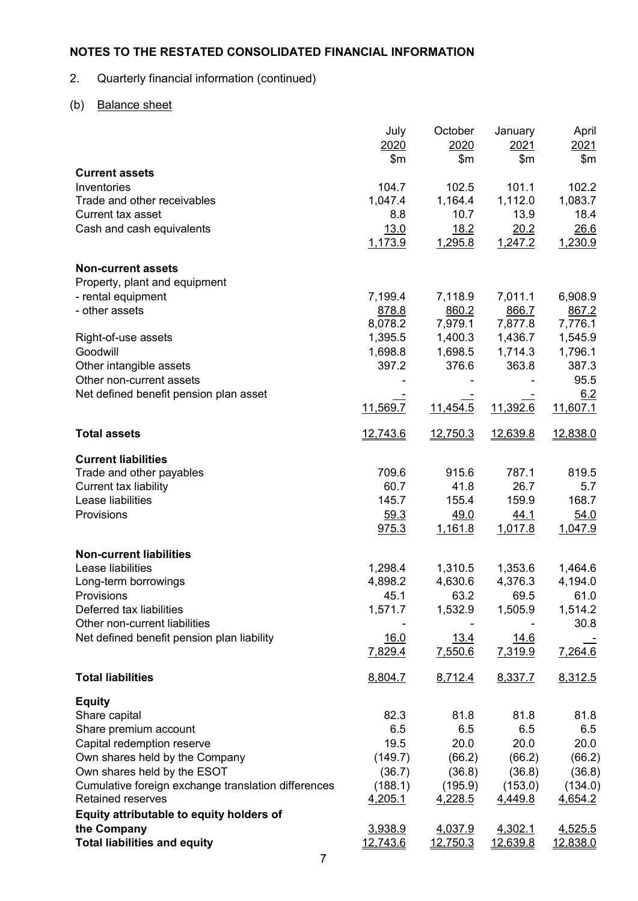## 2. Quarterly financial information (continued)

# (b) Balance sheet

|                                                     | July     | October  | January     | April    |
|-----------------------------------------------------|----------|----------|-------------|----------|
|                                                     | 2020     | 2020     | 2021        | 2021     |
|                                                     | \$m\$    | \$m\$    | \$m\$       | \$m      |
| <b>Current assets</b>                               |          |          |             |          |
| Inventories                                         | 104.7    | 102.5    | 101.1       | 102.2    |
| Trade and other receivables                         | 1,047.4  | 1,164.4  | 1,112.0     | 1,083.7  |
| Current tax asset                                   | 8.8      | 10.7     | 13.9        | 18.4     |
| Cash and cash equivalents                           | 13.0     | 18.2     | 20.2        | 26.6     |
|                                                     | 1,173.9  | 1,295.8  | 1,247.2     | 1,230.9  |
| <b>Non-current assets</b>                           |          |          |             |          |
| Property, plant and equipment                       |          |          |             |          |
| - rental equipment                                  | 7,199.4  | 7,118.9  | 7,011.1     | 6,908.9  |
| - other assets                                      | 878.8    | 860.2    | 866.7       | 867.2    |
|                                                     | 8,078.2  | 7,979.1  | 7,877.8     | 7,776.1  |
| Right-of-use assets                                 | 1,395.5  | 1,400.3  | 1,436.7     | 1,545.9  |
| Goodwill                                            | 1,698.8  | 1,698.5  | 1,714.3     | 1,796.1  |
| Other intangible assets                             | 397.2    | 376.6    | 363.8       | 387.3    |
| Other non-current assets                            |          |          |             | 95.5     |
| Net defined benefit pension plan asset              |          |          |             | 6.2      |
|                                                     | 11,569.7 | 11,454.5 | 11,392.6    | 11,607.1 |
| <b>Total assets</b>                                 | 12,743.6 | 12,750.3 | 12,639.8    | 12,838.0 |
| <b>Current liabilities</b>                          |          |          |             |          |
| Trade and other payables                            | 709.6    | 915.6    | 787.1       | 819.5    |
| Current tax liability                               | 60.7     | 41.8     | 26.7        | 5.7      |
| Lease liabilities                                   | 145.7    | 155.4    | 159.9       | 168.7    |
| Provisions                                          | 59.3     | 49.0     | 44.1        | 54.0     |
|                                                     | 975.3    | 1,161.8  | 1,017.8     | 1,047.9  |
| <b>Non-current liabilities</b>                      |          |          |             |          |
| Lease liabilities                                   | 1,298.4  | 1,310.5  | 1,353.6     | 1,464.6  |
| Long-term borrowings                                | 4,898.2  | 4,630.6  | 4,376.3     | 4,194.0  |
| Provisions                                          | 45.1     | 63.2     | 69.5        | 61.0     |
| Deferred tax liabilities                            | 1,571.7  | 1,532.9  | 1,505.9     | 1,514.2  |
| Other non-current liabilities                       |          |          |             | 30.8     |
| Net defined benefit pension plan liability          | 16.0     | 13.4     | <u>14.6</u> |          |
|                                                     | 7,829.4  | 7,550.6  | 7,319.9     | 7,264.6  |
| <b>Total liabilities</b>                            | 8,804.7  | 8,712.4  | 8,337.7     | 8,312.5  |
| <b>Equity</b>                                       |          |          |             |          |
| Share capital                                       | 82.3     | 81.8     | 81.8        | 81.8     |
| Share premium account                               | 6.5      | 6.5      | 6.5         | 6.5      |
| Capital redemption reserve                          | 19.5     | 20.0     | 20.0        | 20.0     |
| Own shares held by the Company                      | (149.7)  | (66.2)   | (66.2)      | (66.2)   |
| Own shares held by the ESOT                         | (36.7)   | (36.8)   | (36.8)      | (36.8)   |
| Cumulative foreign exchange translation differences | (188.1)  | (195.9)  | (153.0)     | (134.0)  |
| <b>Retained reserves</b>                            | 4,205.1  | 4,228.5  | 4,449.8     | 4,654.2  |
| Equity attributable to equity holders of            |          |          |             |          |
| the Company                                         | 3,938.9  | 4,037.9  | 4,302.1     | 4,525.5  |
| <b>Total liabilities and equity</b>                 | 12,743.6 | 12,750.3 | 12,639.8    | 12,838.0 |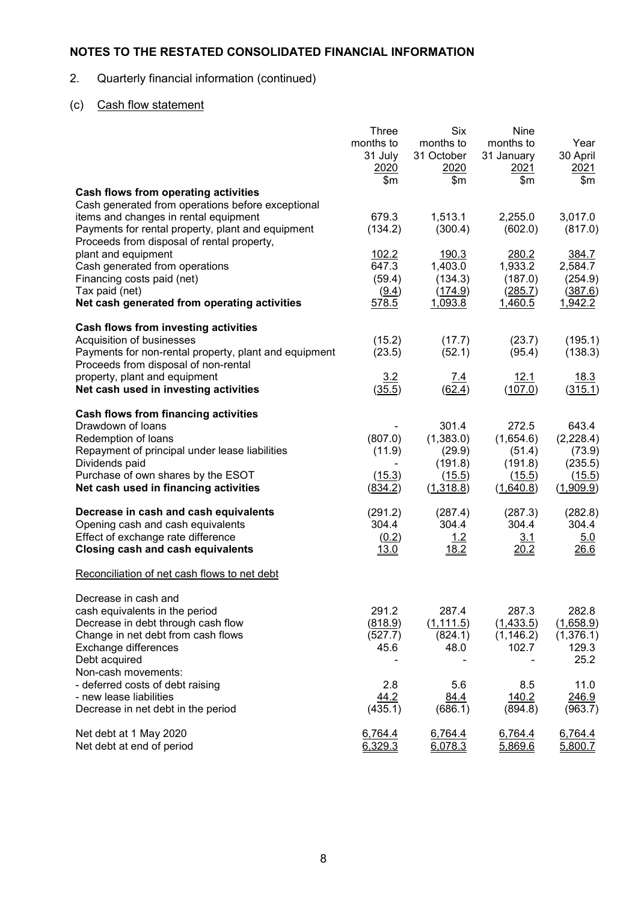## 2. Quarterly financial information (continued)

# (c) Cash flow statement

|                                                       | Three       | <b>Six</b>   | Nine       |            |
|-------------------------------------------------------|-------------|--------------|------------|------------|
|                                                       | months to   | months to    | months to  | Year       |
|                                                       | 31 July     | 31 October   | 31 January | 30 April   |
|                                                       | 2020        | 2020         | 2021       | 2021       |
|                                                       | \$m         | \$m          | \$m\$      | \$m        |
| Cash flows from operating activities                  |             |              |            |            |
| Cash generated from operations before exceptional     |             |              |            |            |
| items and changes in rental equipment                 | 679.3       | 1,513.1      | 2,255.0    | 3,017.0    |
| Payments for rental property, plant and equipment     | (134.2)     | (300.4)      | (602.0)    | (817.0)    |
| Proceeds from disposal of rental property,            |             |              |            |            |
| plant and equipment                                   | 102.2       | <u>190.3</u> | 280.2      | 384.7      |
| Cash generated from operations                        | 647.3       | 1,403.0      | 1,933.2    | 2,584.7    |
| Financing costs paid (net)                            | (59.4)      | (134.3)      | (187.0)    | (254.9)    |
| Tax paid (net)                                        | (9.4)       | (174.9)      | (285.7)    | (387.6)    |
| Net cash generated from operating activities          | 578.5       | 1,093.8      | 1,460.5    | 1,942.2    |
| Cash flows from investing activities                  |             |              |            |            |
| Acquisition of businesses                             | (15.2)      | (17.7)       | (23.7)     | (195.1)    |
| Payments for non-rental property, plant and equipment | (23.5)      | (52.1)       | (95.4)     | (138.3)    |
| Proceeds from disposal of non-rental                  |             |              |            |            |
| property, plant and equipment                         | 3.2         | 7.4          | 12.1       | 18.3       |
| Net cash used in investing activities                 | (35.5)      | (62.4)       | (107.0)    | (315.1)    |
| Cash flows from financing activities                  |             |              |            |            |
| Drawdown of loans                                     |             | 301.4        | 272.5      | 643.4      |
| Redemption of loans                                   | (807.0)     | (1,383.0)    | (1,654.6)  | (2,228.4)  |
| Repayment of principal under lease liabilities        | (11.9)      | (29.9)       | (51.4)     | (73.9)     |
| Dividends paid                                        |             | (191.8)      | (191.8)    | (235.5)    |
| Purchase of own shares by the ESOT                    | (15.3)      | (15.5)       | (15.5)     | (15.5)     |
| Net cash used in financing activities                 | (834.2)     | (1,318.8)    | (1,640.8)  | (1,909.9)  |
|                                                       |             |              |            |            |
| Decrease in cash and cash equivalents                 | (291.2)     | (287.4)      | (287.3)    | (282.8)    |
| Opening cash and cash equivalents                     | 304.4       | 304.4        | 304.4      | 304.4      |
| Effect of exchange rate difference                    | (0.2)       | <u> 1.2</u>  | 3.1        | 5.0        |
| <b>Closing cash and cash equivalents</b>              | <u>13.0</u> | <u>18.2</u>  | 20.2       | 26.6       |
| Reconciliation of net cash flows to net debt          |             |              |            |            |
| Decrease in cash and                                  |             |              |            |            |
| cash equivalents in the period                        | 291.2       | 287.4        | 287.3      | 282.8      |
| Decrease in debt through cash flow                    | (818.9)     | (1, 111.5)   | (1,433.5)  | (1,658.9)  |
| Change in net debt from cash flows                    | (527.7)     | (824.1)      | (1, 146.2) | (1, 376.1) |
| Exchange differences                                  | 45.6        | 48.0         | 102.7      | 129.3      |
| Debt acquired                                         |             |              |            | 25.2       |
| Non-cash movements:                                   |             |              |            |            |
| - deferred costs of debt raising                      | 2.8         | 5.6          | 8.5        | 11.0       |
| - new lease liabilities                               | 44.2        | 84.4         | 140.2      | 246.9      |
| Decrease in net debt in the period                    | (435.1)     | (686.1)      | (894.8)    | (963.7)    |
| Net debt at 1 May 2020                                | 6,764.4     | 6,764.4      | 6,764.4    | 6,764.4    |
| Net debt at end of period                             | 6,329.3     | 6,078.3      | 5,869.6    | 5,800.7    |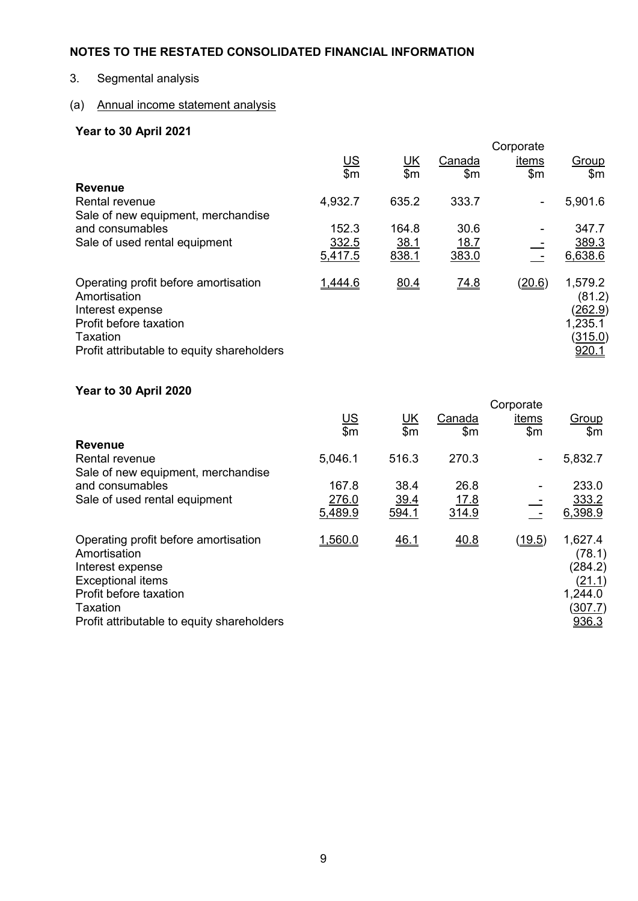## 3. Segmental analysis

# (a) Annual income statement analysis

## **Year to 30 April 2021**

|                                                                                                                                                              |                                                |             |             | Corporate |                                                                    |
|--------------------------------------------------------------------------------------------------------------------------------------------------------------|------------------------------------------------|-------------|-------------|-----------|--------------------------------------------------------------------|
|                                                                                                                                                              | $\underline{\mathsf{U}}\underline{\mathsf{S}}$ | <u>UK</u>   | Canada      | items     | Group                                                              |
|                                                                                                                                                              | \$m                                            | \$m         | \$m         | \$m       | \$m\$                                                              |
| <b>Revenue</b>                                                                                                                                               |                                                |             |             |           |                                                                    |
| Rental revenue                                                                                                                                               | 4,932.7                                        | 635.2       | 333.7       | ۰         | 5,901.6                                                            |
| Sale of new equipment, merchandise                                                                                                                           |                                                |             |             |           |                                                                    |
| and consumables                                                                                                                                              | 152.3                                          | 164.8       | 30.6        |           | 347.7                                                              |
| Sale of used rental equipment                                                                                                                                | 332.5                                          | <u>38.1</u> | <u>18.7</u> |           | 389.3                                                              |
|                                                                                                                                                              | 5,417.5                                        | 838.1       | 383.0       |           | 6,638.6                                                            |
| Operating profit before amortisation<br>Amortisation<br>Interest expense<br>Profit before taxation<br>Taxation<br>Profit attributable to equity shareholders | 1,444.6                                        | 80.4        | 74.8        | (20.6)    | 1,579.2<br>(81.2)<br>(262.9)<br>1,235.1<br>(315.0)<br><u>920.1</u> |

### **Year to 30 April 2020**

|                                                                                                                                                                                          |                       |                                  |                        | Corporate      |                                                                                     |
|------------------------------------------------------------------------------------------------------------------------------------------------------------------------------------------|-----------------------|----------------------------------|------------------------|----------------|-------------------------------------------------------------------------------------|
|                                                                                                                                                                                          | $rac{\text{US}}{\$m}$ | $\underline{\mathsf{UK}}$<br>\$m | Canada<br>$\mathsf{m}$ | items<br>\$m   | Group<br>\$m\$                                                                      |
| <b>Revenue</b>                                                                                                                                                                           |                       |                                  |                        |                |                                                                                     |
| <b>Rental revenue</b>                                                                                                                                                                    | 5,046.1               | 516.3                            | 270.3                  | $\blacksquare$ | 5,832.7                                                                             |
| Sale of new equipment, merchandise                                                                                                                                                       |                       |                                  |                        |                |                                                                                     |
| and consumables                                                                                                                                                                          | 167.8                 | 38.4                             | 26.8                   |                | 233.0                                                                               |
| Sale of used rental equipment                                                                                                                                                            | 276.0                 | <u>39.4</u>                      | <u>17.8</u>            |                | 333.2                                                                               |
|                                                                                                                                                                                          | 5,489.9               | 594.1                            | 314.9                  |                | 6,398.9                                                                             |
| Operating profit before amortisation<br>Amortisation<br>Interest expense<br><b>Exceptional items</b><br>Profit before taxation<br>Taxation<br>Profit attributable to equity shareholders | 1,560.0               | 46.1                             | 40.8                   | (19.5)         | 1,627.4<br>(78.1)<br>(284.2)<br><u>(21.1)</u><br>1,244.0<br><u>(307.7)</u><br>936.3 |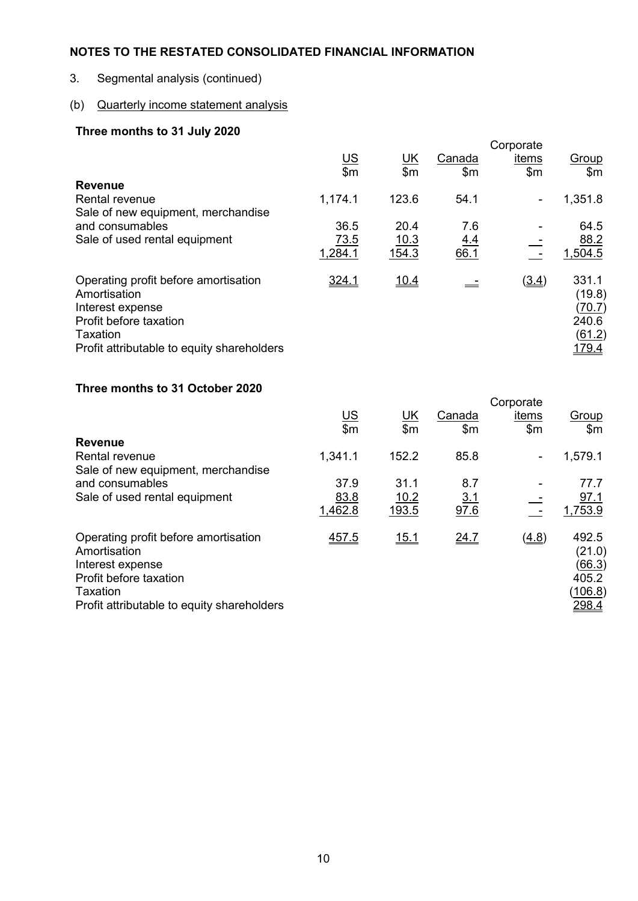3. Segmental analysis (continued)

## (b) Quarterly income statement analysis

## **Three months to 31 July 2020**

|                                                                                                                                                              |                       |                  |                        | Corporate                |                                                              |
|--------------------------------------------------------------------------------------------------------------------------------------------------------------|-----------------------|------------------|------------------------|--------------------------|--------------------------------------------------------------|
|                                                                                                                                                              | $rac{\text{US}}{\$m}$ | <u>UК</u><br>\$m | Canada<br>$\mathsf{m}$ | items<br>$\mathsf{m}$    | Group<br>$\mathsf{m}$                                        |
| <b>Revenue</b>                                                                                                                                               |                       |                  |                        |                          |                                                              |
| Rental revenue                                                                                                                                               | 1,174.1               | 123.6            | 54.1                   | $\overline{\phantom{a}}$ | 1,351.8                                                      |
| Sale of new equipment, merchandise                                                                                                                           |                       |                  |                        |                          |                                                              |
| and consumables                                                                                                                                              | 36.5                  | 20.4             | 7.6                    |                          | 64.5                                                         |
| Sale of used rental equipment                                                                                                                                | 73.5                  | <u> 10.3</u>     | <u>4.4</u>             |                          | 88.2                                                         |
|                                                                                                                                                              | 1,284.1               | 154.3            | 66.1                   |                          | 1,504.5                                                      |
| Operating profit before amortisation<br>Amortisation<br>Interest expense<br>Profit before taxation<br>Taxation<br>Profit attributable to equity shareholders | 324.1                 | 10.4             |                        | (3.4)                    | 331.1<br>(19.8)<br><u>(70.7)</u><br>240.6<br>(61.2)<br>179.4 |

### **Three months to 31 October 2020**

|                                                                                                                |                       |              |                | Corporate |                                                             |
|----------------------------------------------------------------------------------------------------------------|-----------------------|--------------|----------------|-----------|-------------------------------------------------------------|
|                                                                                                                | $rac{\text{US}}{\$m}$ | <u>UК</u>    | Canada         | items     | Group                                                       |
| <b>Revenue</b>                                                                                                 |                       | \$m\$        | $\mathsf{S}$ m | \$m       | \$m\$                                                       |
|                                                                                                                |                       |              |                |           |                                                             |
| <b>Rental revenue</b>                                                                                          | 1,341.1               | 152.2        | 85.8           | ۰         | 1,579.1                                                     |
| Sale of new equipment, merchandise                                                                             |                       |              |                |           |                                                             |
| and consumables                                                                                                | 37.9                  | 31.1         | 8.7            |           | 77.7                                                        |
| Sale of used rental equipment                                                                                  | 83.8                  | <u> 10.2</u> | <u>3.1</u>     |           | 97.1                                                        |
|                                                                                                                | 1,462.8               | 193.5        | 97.6           |           | 1,753.9                                                     |
|                                                                                                                |                       |              |                |           |                                                             |
| Operating profit before amortisation<br>Amortisation<br>Interest expense<br>Profit before taxation<br>Taxation | <u>457.5</u>          | 15.1         | 24.7           | (4.8)     | 492.5<br>(21.0)<br><u>(66.3)</u><br>405.2<br><u>(106.8)</u> |
| Profit attributable to equity shareholders                                                                     |                       |              |                |           | <u> 298.4</u>                                               |
|                                                                                                                |                       |              |                |           |                                                             |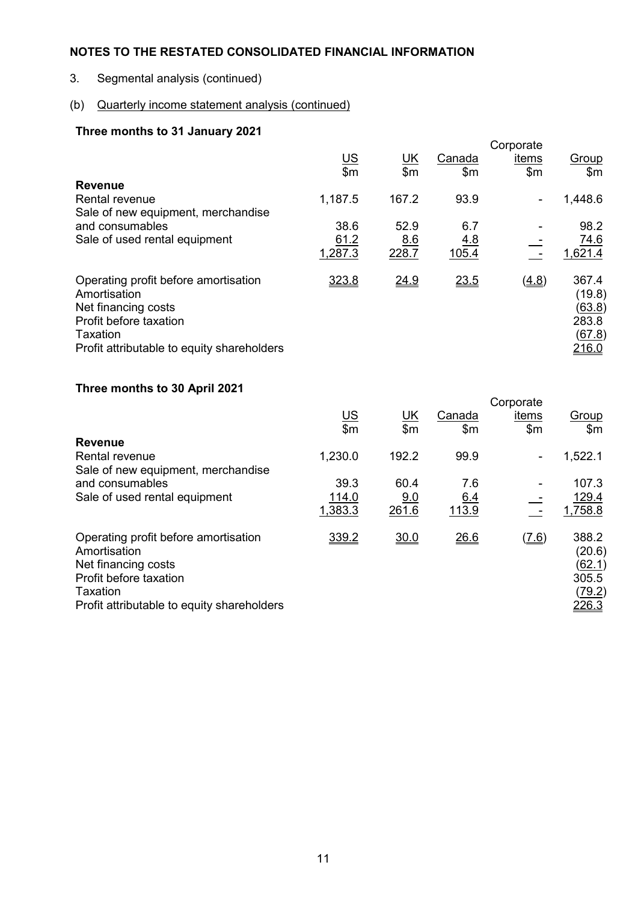3. Segmental analysis (continued)

### (b) Quarterly income statement analysis (continued)

## **Three months to 31 January 2021**

|         |                       |                  | Corporate                |                                                                     |
|---------|-----------------------|------------------|--------------------------|---------------------------------------------------------------------|
|         |                       | Canada           | items                    | Group                                                               |
|         | \$m                   | $\mathsf{m}$     | \$m                      | \$m\$                                                               |
|         |                       |                  |                          |                                                                     |
| 1,187.5 | 167.2                 | 93.9             | $\overline{\phantom{a}}$ | 1,448.6                                                             |
|         |                       |                  |                          |                                                                     |
| 38.6    | 52.9                  | 6.7              |                          | 98.2                                                                |
| 61.2    |                       |                  |                          | <u>74.6</u>                                                         |
| 1,287.3 | 228.7                 | 105.4            |                          | 1,621.4                                                             |
| 323.8   | <u>24.9</u>           | 23.5             | (4.8)                    | 367.4<br>(19.8)<br><u>(63.8)</u><br>283.8<br><u>(67.8)</u><br>216.0 |
|         | $rac{\text{US}}{\$m}$ | <u>UK</u><br>8.6 | 4.8                      |                                                                     |

### **Three months to 30 April 2021**

|                                                                                                                                                                 |                       |           |              | Corporate |                                                                             |
|-----------------------------------------------------------------------------------------------------------------------------------------------------------------|-----------------------|-----------|--------------|-----------|-----------------------------------------------------------------------------|
|                                                                                                                                                                 | $rac{\text{US}}{\$m}$ | <u>UK</u> | Canada       | items     | Group                                                                       |
|                                                                                                                                                                 |                       | \$m       | $\mathsf{m}$ | \$m       | \$m\$                                                                       |
| <b>Revenue</b>                                                                                                                                                  |                       |           |              |           |                                                                             |
| <b>Rental revenue</b>                                                                                                                                           | 1,230.0               | 192.2     | 99.9         | ۰         | 1,522.1                                                                     |
| Sale of new equipment, merchandise                                                                                                                              |                       |           |              |           |                                                                             |
| and consumables                                                                                                                                                 | 39.3                  | 60.4      | 7.6          |           | 107.3                                                                       |
| Sale of used rental equipment                                                                                                                                   | 114.0                 | 9.0       | 6.4          |           | <u>129.4</u>                                                                |
|                                                                                                                                                                 | 1,383.3               | 261.6     | 113.9        |           | 1,758.8                                                                     |
| Operating profit before amortisation<br>Amortisation<br>Net financing costs<br>Profit before taxation<br>Taxation<br>Profit attributable to equity shareholders | 339.2                 | 30.0      | 26.6         | (2.6)     | 388.2<br>(20.6)<br><u>(62.1)</u><br>305.5<br><u>(79.2)</u><br><u> 226.3</u> |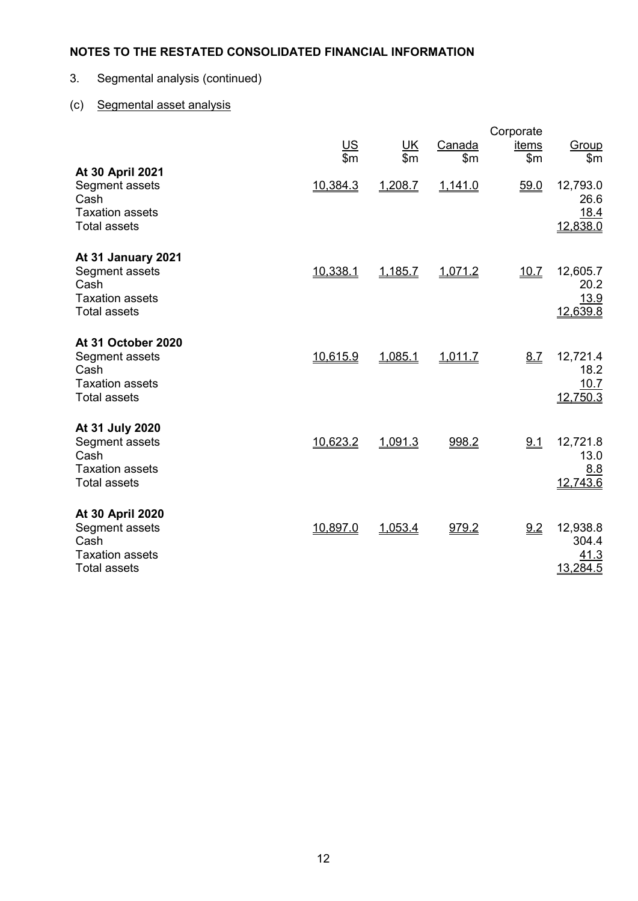# 3. Segmental analysis (continued)

# (c) Segmental asset analysis

|                                                                                               | $\underline{\mathsf{US}}$<br>\$m | UK<br>\$m | Canada<br>$\mathsf{m}$ | Corporate<br><u>items</u><br>\$m | Group<br>\$m\$                        |
|-----------------------------------------------------------------------------------------------|----------------------------------|-----------|------------------------|----------------------------------|---------------------------------------|
| At 30 April 2021<br>Segment assets<br>Cash<br><b>Taxation assets</b><br><b>Total assets</b>   | 10,384.3                         | 1,208.7   | 1,141.0                | 59.0                             | 12,793.0<br>26.6<br>18.4<br>12,838.0  |
| At 31 January 2021<br>Segment assets<br>Cash<br><b>Taxation assets</b><br><b>Total assets</b> | 10,338.1                         | 1,185.7   | 1,071.2                | 10.7                             | 12,605.7<br>20.2<br>13.9<br>12,639.8  |
| At 31 October 2020<br>Segment assets<br>Cash<br><b>Taxation assets</b><br><b>Total assets</b> | 10,615.9                         | 1,085.1   | 1,011.7                | <u>8.7</u>                       | 12,721.4<br>18.2<br>10.7<br>12,750.3  |
| At 31 July 2020<br>Segment assets<br>Cash<br><b>Taxation assets</b><br><b>Total assets</b>    | 10,623.2                         | 1,091.3   | 998.2                  | <u>9.1</u>                       | 12,721.8<br>13.0<br>8.8<br>12,743.6   |
| At 30 April 2020<br>Segment assets<br>Cash<br><b>Taxation assets</b><br><b>Total assets</b>   | 10,897.0                         | 1,053.4   | 979.2                  | 9.2                              | 12,938.8<br>304.4<br>41.3<br>13,284.5 |